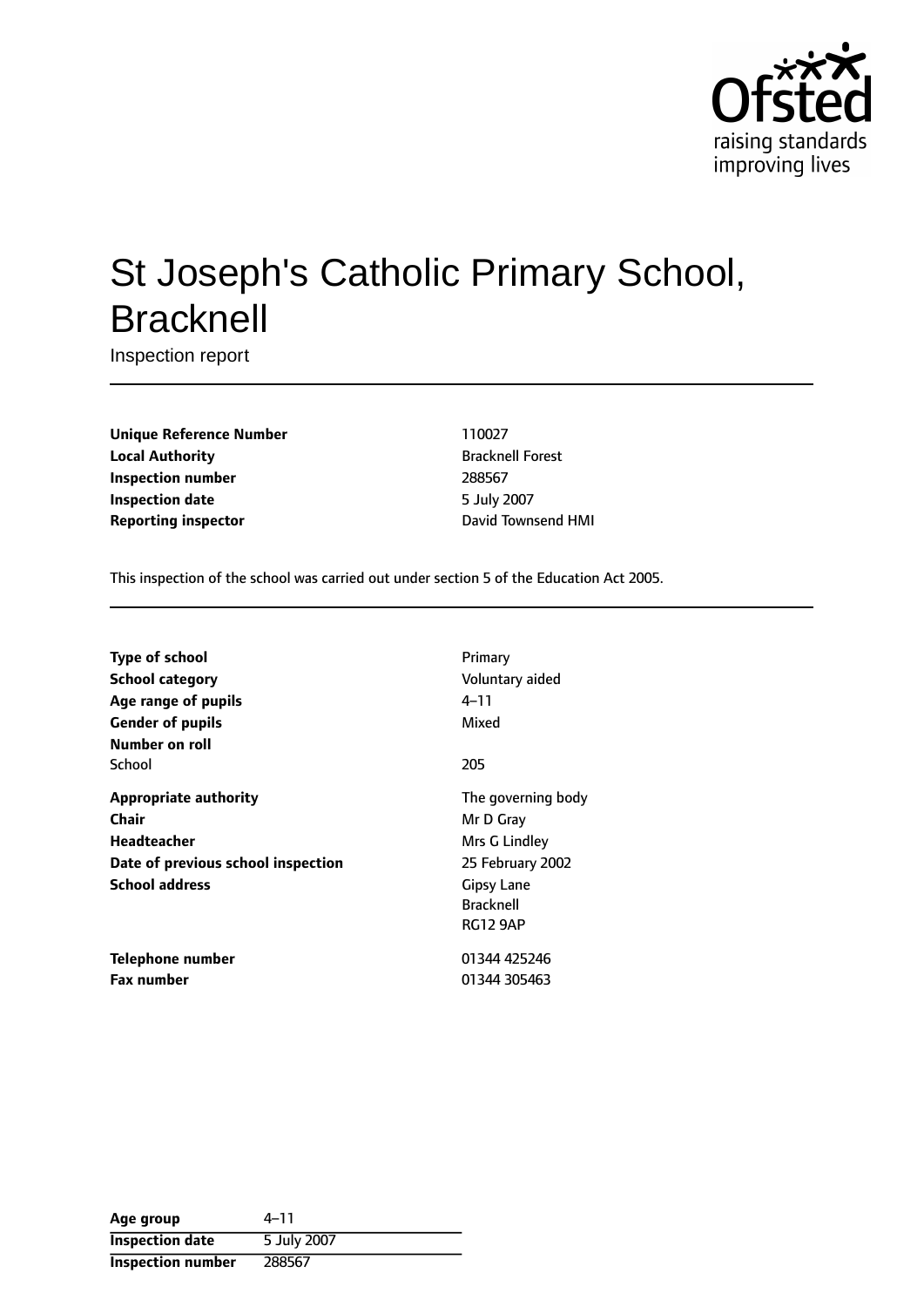

# St Joseph's Catholic Primary School, **Bracknell**

Inspection report

**Unique Reference Number** 110027 **Local Authority Bracknell Forest Inspection number** 288567 **Inspection date** 5 July 2007 **Reporting inspector CONFIDENTIAL CONFIDENTIAL DAVID David Townsend HMI** 

This inspection of the school was carried out under section 5 of the Education Act 2005.

| <b>Type of school</b>              | Primary            |
|------------------------------------|--------------------|
| School category                    | Voluntary aided    |
| Age range of pupils                | 4–11               |
| <b>Gender of pupils</b>            | Mixed              |
| Number on roll                     |                    |
| School                             | 205                |
| <b>Appropriate authority</b>       | The governing body |
| Chair                              | Mr D Gray          |
| Headteacher                        | Mrs G Lindley      |
| Date of previous school inspection | 25 February 2002   |
| <b>School address</b>              | Gipsy Lane         |
|                                    | <b>Bracknell</b>   |
|                                    | <b>RG12 9AP</b>    |
| Telephone number                   | 01344 425246       |
| <b>Fax number</b>                  | 01344 305463       |

| Age group                | $4 - 11$    |
|--------------------------|-------------|
| <b>Inspection date</b>   | 5 July 2007 |
| <b>Inspection number</b> | 288567      |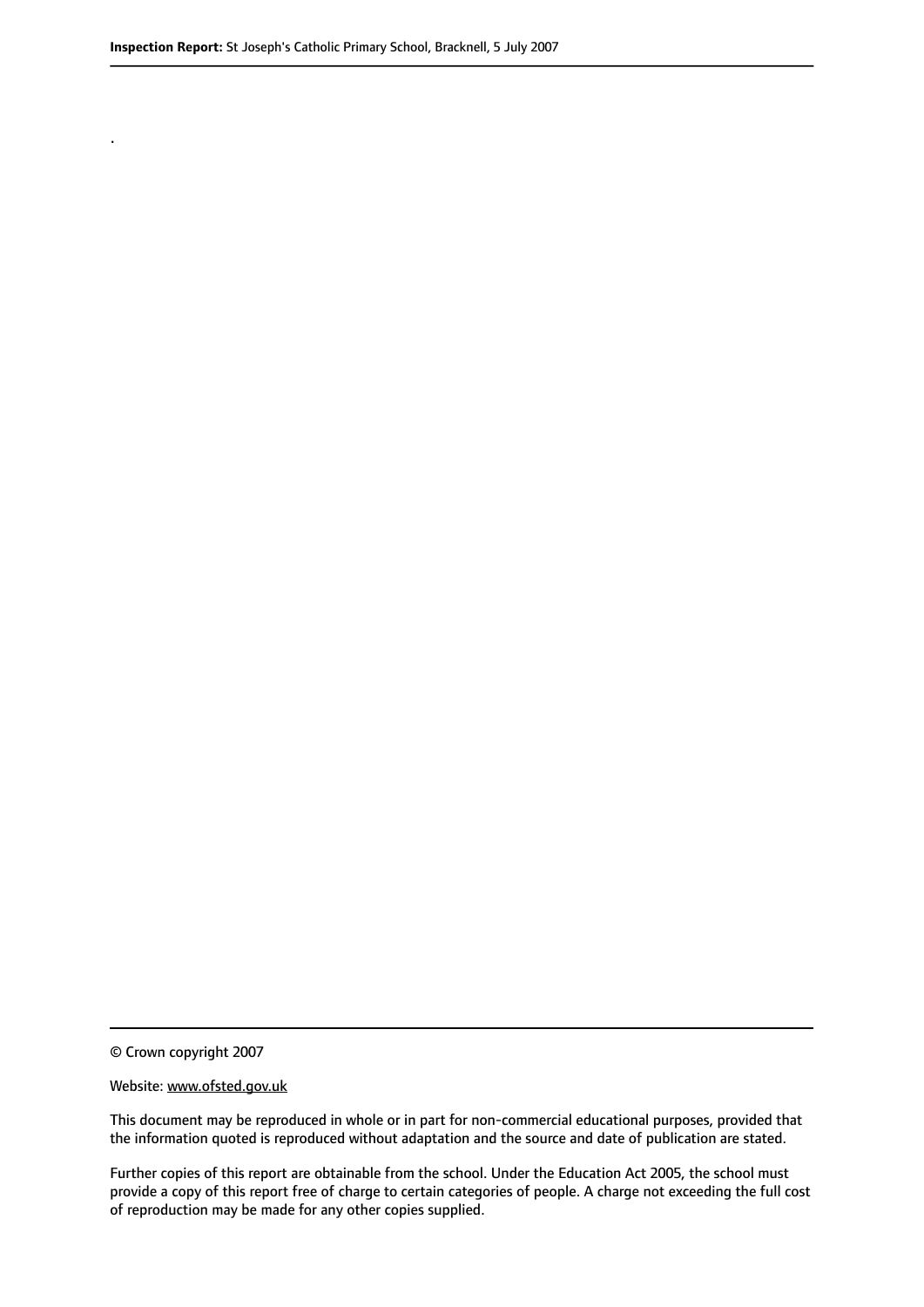.

© Crown copyright 2007

#### Website: www.ofsted.gov.uk

This document may be reproduced in whole or in part for non-commercial educational purposes, provided that the information quoted is reproduced without adaptation and the source and date of publication are stated.

Further copies of this report are obtainable from the school. Under the Education Act 2005, the school must provide a copy of this report free of charge to certain categories of people. A charge not exceeding the full cost of reproduction may be made for any other copies supplied.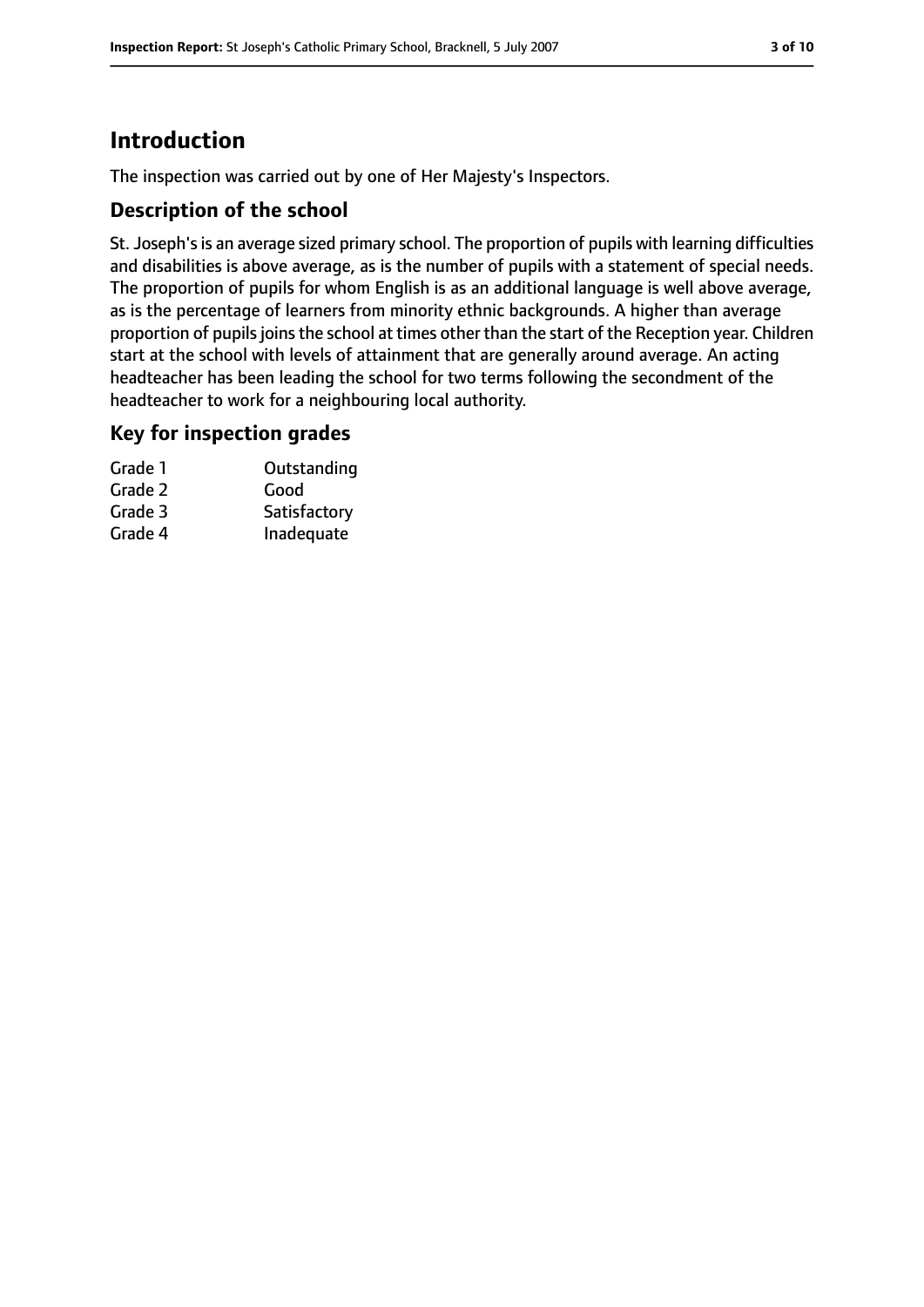# **Introduction**

The inspection was carried out by one of Her Majesty's Inspectors.

## **Description of the school**

St. Joseph's is an average sized primary school. The proportion of pupils with learning difficulties and disabilities is above average, as is the number of pupils with a statement of special needs. The proportion of pupils for whom English is as an additional language is well above average, as is the percentage of learners from minority ethnic backgrounds. A higher than average proportion of pupils joins the school at times other than the start of the Reception year. Children start at the school with levels of attainment that are generally around average. An acting headteacher has been leading the school for two terms following the secondment of the headteacher to work for a neighbouring local authority.

### **Key for inspection grades**

| Grade 1 | Outstanding  |
|---------|--------------|
| Grade 2 | Good         |
| Grade 3 | Satisfactory |
| Grade 4 | Inadequate   |
|         |              |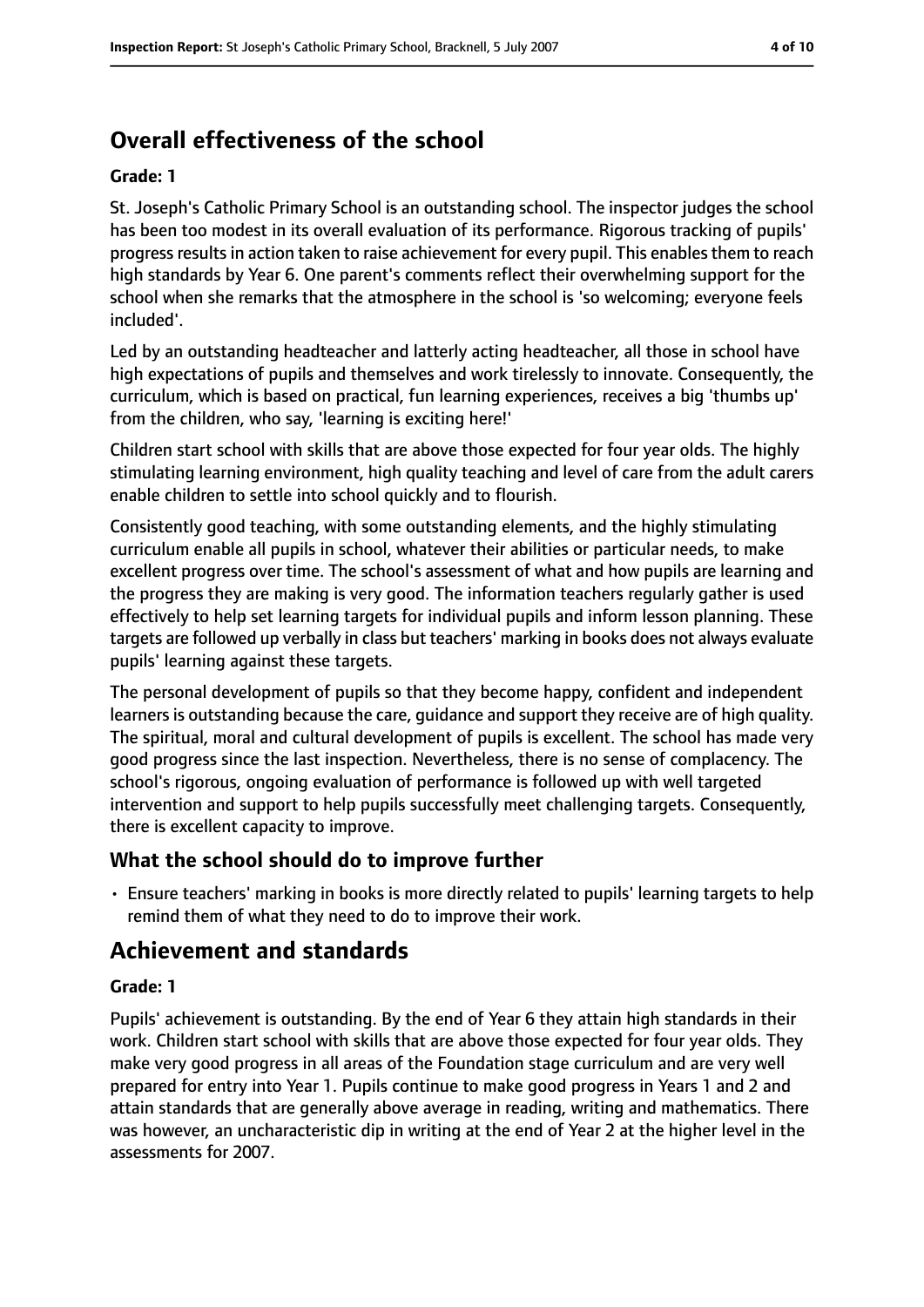# **Overall effectiveness of the school**

#### **Grade: 1**

St. Joseph's Catholic Primary School is an outstanding school. The inspector judges the school has been too modest in its overall evaluation of its performance. Rigorous tracking of pupils' progress results in action taken to raise achievement for every pupil. This enables them to reach high standards by Year 6. One parent's comments reflect their overwhelming support for the school when she remarks that the atmosphere in the school is 'so welcoming; everyone feels included'.

Led by an outstanding headteacher and latterly acting headteacher, all those in school have high expectations of pupils and themselves and work tirelessly to innovate. Consequently, the curriculum, which is based on practical, fun learning experiences, receives a big 'thumbs up' from the children, who say, 'learning is exciting here!'

Children start school with skills that are above those expected for four year olds. The highly stimulating learning environment, high quality teaching and level of care from the adult carers enable children to settle into school quickly and to flourish.

Consistently good teaching, with some outstanding elements, and the highly stimulating curriculum enable all pupils in school, whatever their abilities or particular needs, to make excellent progress over time. The school's assessment of what and how pupils are learning and the progress they are making is very good. The information teachers regularly gather is used effectively to help set learning targets for individual pupils and inform lesson planning. These targets are followed up verbally in class but teachers' marking in books does not always evaluate pupils' learning against these targets.

The personal development of pupils so that they become happy, confident and independent learners is outstanding because the care, guidance and support they receive are of high quality. The spiritual, moral and cultural development of pupils is excellent. The school has made very good progress since the last inspection. Nevertheless, there is no sense of complacency. The school's rigorous, ongoing evaluation of performance is followed up with well targeted intervention and support to help pupils successfully meet challenging targets. Consequently, there is excellent capacity to improve.

### **What the school should do to improve further**

• Ensure teachers' marking in books is more directly related to pupils' learning targets to help remind them of what they need to do to improve their work.

# **Achievement and standards**

#### **Grade: 1**

Pupils' achievement is outstanding. By the end of Year 6 they attain high standards in their work. Children start school with skills that are above those expected for four year olds. They make very good progress in all areas of the Foundation stage curriculum and are very well prepared for entry into Year 1. Pupils continue to make good progress in Years 1 and 2 and attain standards that are generally above average in reading, writing and mathematics. There was however, an uncharacteristic dip in writing at the end of Year 2 at the higher level in the assessments for 2007.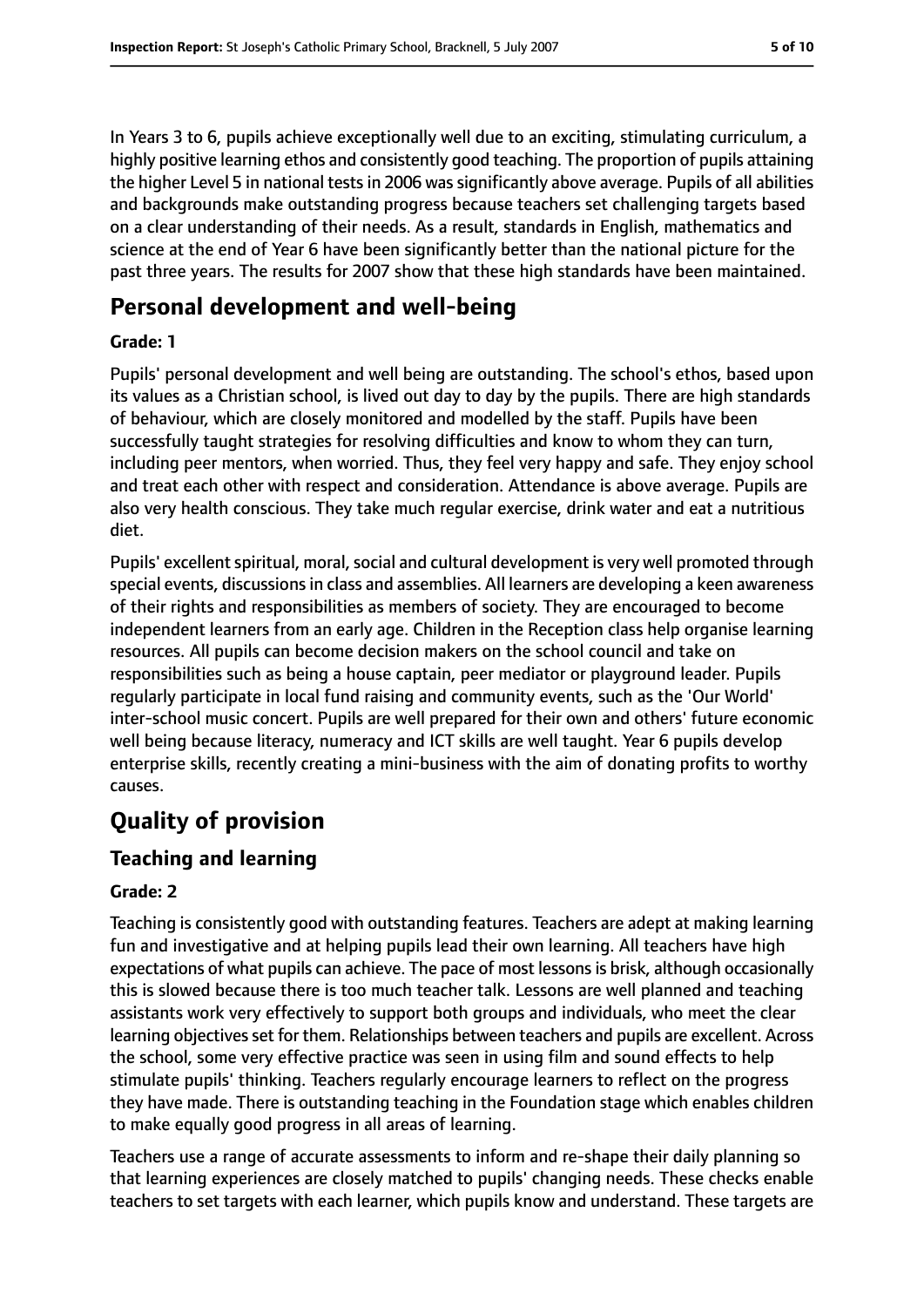In Years 3 to 6, pupils achieve exceptionally well due to an exciting, stimulating curriculum, a highly positive learning ethos and consistently good teaching. The proportion of pupils attaining the higher Level 5 in national tests in 2006 was significantly above average. Pupils of all abilities and backgrounds make outstanding progress because teachers set challenging targets based on a clear understanding of their needs. As a result, standards in English, mathematics and science at the end of Year 6 have been significantly better than the national picture for the past three years. The results for 2007 show that these high standards have been maintained.

# **Personal development and well-being**

#### **Grade: 1**

Pupils' personal development and well being are outstanding. The school's ethos, based upon its values as a Christian school, is lived out day to day by the pupils. There are high standards of behaviour, which are closely monitored and modelled by the staff. Pupils have been successfully taught strategies for resolving difficulties and know to whom they can turn, including peer mentors, when worried. Thus, they feel very happy and safe. They enjoy school and treat each other with respect and consideration. Attendance is above average. Pupils are also very health conscious. They take much regular exercise, drink water and eat a nutritious diet.

Pupils' excellent spiritual, moral, social and cultural development is very well promoted through special events, discussions in class and assemblies. All learners are developing a keen awareness of their rights and responsibilities as members of society. They are encouraged to become independent learners from an early age. Children in the Reception class help organise learning resources. All pupils can become decision makers on the school council and take on responsibilities such as being a house captain, peer mediator or playground leader. Pupils regularly participate in local fund raising and community events, such as the 'Our World' inter-school music concert. Pupils are well prepared for their own and others' future economic well being because literacy, numeracy and ICT skills are well taught. Year 6 pupils develop enterprise skills, recently creating a mini-business with the aim of donating profits to worthy causes.

# **Quality of provision**

## **Teaching and learning**

### **Grade: 2**

Teaching is consistently good with outstanding features. Teachers are adept at making learning fun and investigative and at helping pupils lead their own learning. All teachers have high expectations of what pupils can achieve. The pace of most lessons is brisk, although occasionally this is slowed because there is too much teacher talk. Lessons are well planned and teaching assistants work very effectively to support both groups and individuals, who meet the clear learning objectivesset for them. Relationships between teachers and pupils are excellent. Across the school, some very effective practice was seen in using film and sound effects to help stimulate pupils' thinking. Teachers regularly encourage learners to reflect on the progress they have made. There is outstanding teaching in the Foundation stage which enables children to make equally good progress in all areas of learning.

Teachers use a range of accurate assessments to inform and re-shape their daily planning so that learning experiences are closely matched to pupils' changing needs. These checks enable teachers to set targets with each learner, which pupils know and understand. These targets are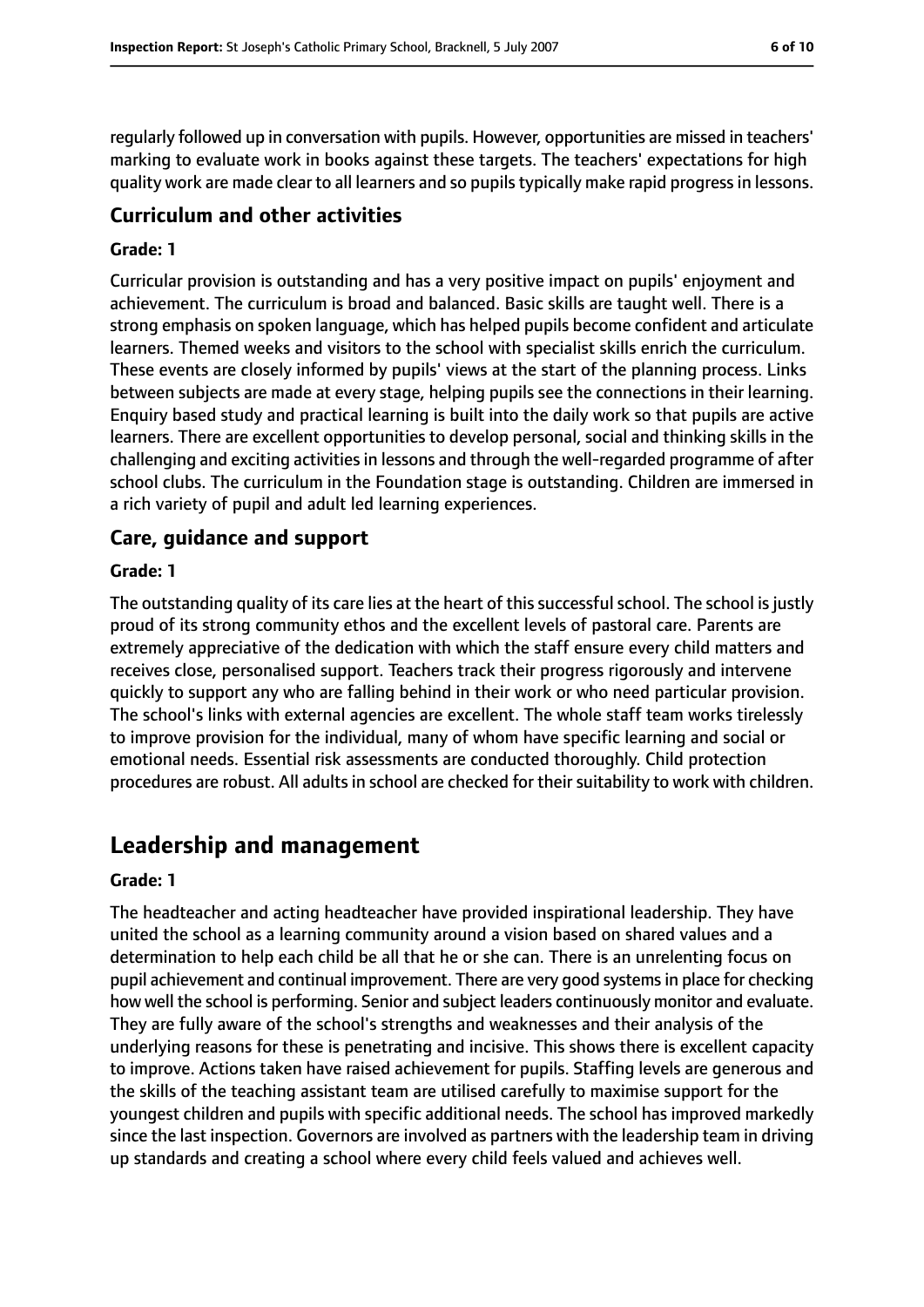regularly followed up in conversation with pupils. However, opportunities are missed in teachers' marking to evaluate work in books against these targets. The teachers' expectations for high quality work are made clear to all learners and so pupilstypically make rapid progressin lessons.

## **Curriculum and other activities**

#### **Grade: 1**

Curricular provision is outstanding and has a very positive impact on pupils' enjoyment and achievement. The curriculum is broad and balanced. Basic skills are taught well. There is a strong emphasis on spoken language, which has helped pupils become confident and articulate learners. Themed weeks and visitors to the school with specialist skills enrich the curriculum. These events are closely informed by pupils' views at the start of the planning process. Links between subjects are made at every stage, helping pupils see the connections in their learning. Enquiry based study and practical learning is built into the daily work so that pupils are active learners. There are excellent opportunities to develop personal, social and thinking skills in the challenging and exciting activities in lessons and through the well-regarded programme of after school clubs. The curriculum in the Foundation stage is outstanding. Children are immersed in a rich variety of pupil and adult led learning experiences.

#### **Care, guidance and support**

#### **Grade: 1**

The outstanding quality of its care lies at the heart of this successful school. The school is justly proud of its strong community ethos and the excellent levels of pastoral care. Parents are extremely appreciative of the dedication with which the staff ensure every child matters and receives close, personalised support. Teachers track their progress rigorously and intervene quickly to support any who are falling behind in their work or who need particular provision. The school's links with external agencies are excellent. The whole staff team works tirelessly to improve provision for the individual, many of whom have specific learning and social or emotional needs. Essential risk assessments are conducted thoroughly. Child protection procedures are robust. All adults in school are checked for their suitability to work with children.

## **Leadership and management**

#### **Grade: 1**

The headteacher and acting headteacher have provided inspirational leadership. They have united the school as a learning community around a vision based on shared values and a determination to help each child be all that he or she can. There is an unrelenting focus on pupil achievement and continual improvement. There are very good systemsin place for checking how well the school is performing. Senior and subject leaders continuously monitor and evaluate. They are fully aware of the school's strengths and weaknesses and their analysis of the underlying reasons for these is penetrating and incisive. This shows there is excellent capacity to improve. Actions taken have raised achievement for pupils. Staffing levels are generous and the skills of the teaching assistant team are utilised carefully to maximise support for the youngest children and pupils with specific additional needs. The school has improved markedly since the last inspection. Governors are involved as partners with the leadership team in driving up standards and creating a school where every child feels valued and achieves well.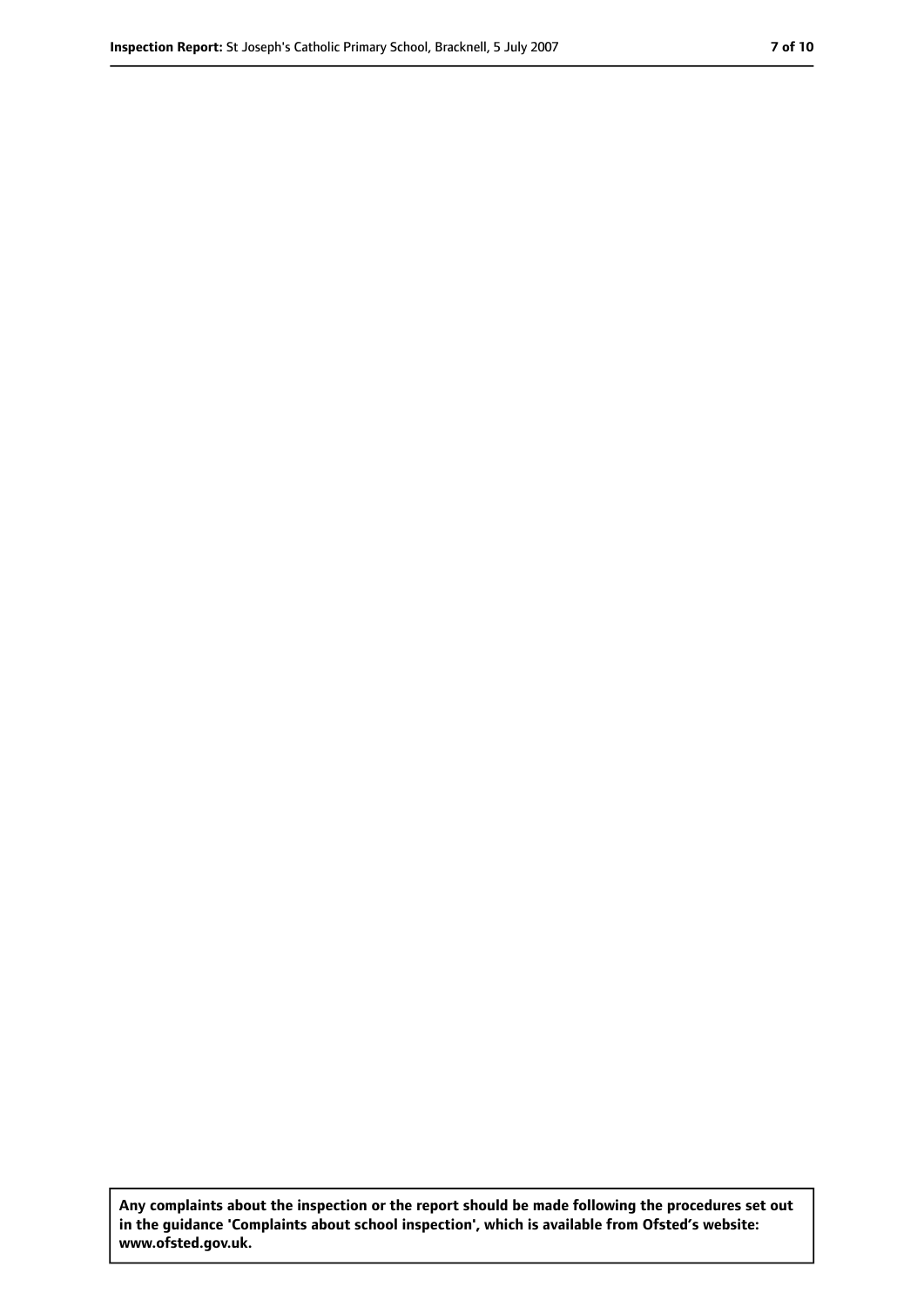**Any complaints about the inspection or the report should be made following the procedures set out in the guidance 'Complaints about school inspection', which is available from Ofsted's website: www.ofsted.gov.uk.**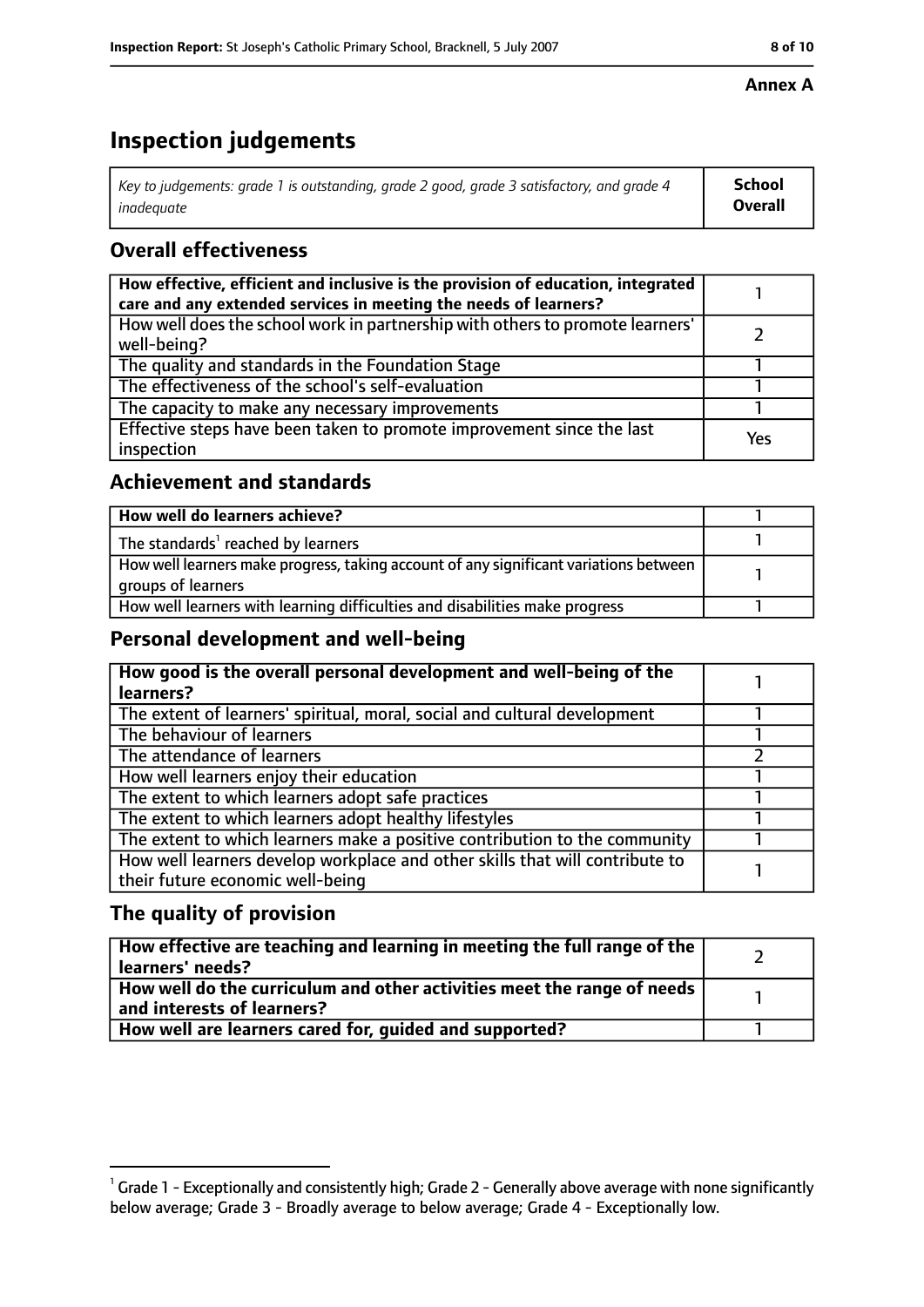#### **Annex A**

# **Inspection judgements**

| Key to judgements: grade 1 is outstanding, grade 2 good, grade 3 satisfactory, and grade 4 | School  |
|--------------------------------------------------------------------------------------------|---------|
| inadequate                                                                                 | Overall |

## **Overall effectiveness**

| How effective, efficient and inclusive is the provision of education, integrated<br>care and any extended services in meeting the needs of learners? |     |
|------------------------------------------------------------------------------------------------------------------------------------------------------|-----|
| How well does the school work in partnership with others to promote learners'<br>well-being?                                                         |     |
| The quality and standards in the Foundation Stage                                                                                                    |     |
| The effectiveness of the school's self-evaluation                                                                                                    |     |
| The capacity to make any necessary improvements                                                                                                      |     |
| Effective steps have been taken to promote improvement since the last<br>inspection                                                                  | Yes |

## **Achievement and standards**

| How well do learners achieve?                                                                               |  |
|-------------------------------------------------------------------------------------------------------------|--|
| The standards <sup>1</sup> reached by learners                                                              |  |
| How well learners make progress, taking account of any significant variations between<br>groups of learners |  |
| How well learners with learning difficulties and disabilities make progress                                 |  |

## **Personal development and well-being**

| How good is the overall personal development and well-being of the<br>learners? |  |
|---------------------------------------------------------------------------------|--|
|                                                                                 |  |
| The extent of learners' spiritual, moral, social and cultural development       |  |
| The behaviour of learners                                                       |  |
| The attendance of learners                                                      |  |
| How well learners enjoy their education                                         |  |
| The extent to which learners adopt safe practices                               |  |
| The extent to which learners adopt healthy lifestyles                           |  |
| The extent to which learners make a positive contribution to the community      |  |
| How well learners develop workplace and other skills that will contribute to    |  |
| their future economic well-being                                                |  |

## **The quality of provision**

| How effective are teaching and learning in meeting the full range of the<br>learners' needs?          |  |
|-------------------------------------------------------------------------------------------------------|--|
| How well do the curriculum and other activities meet the range of needs<br>and interests of learners? |  |
| How well are learners cared for, quided and supported?                                                |  |

 $^1$  Grade 1 - Exceptionally and consistently high; Grade 2 - Generally above average with none significantly below average; Grade 3 - Broadly average to below average; Grade 4 - Exceptionally low.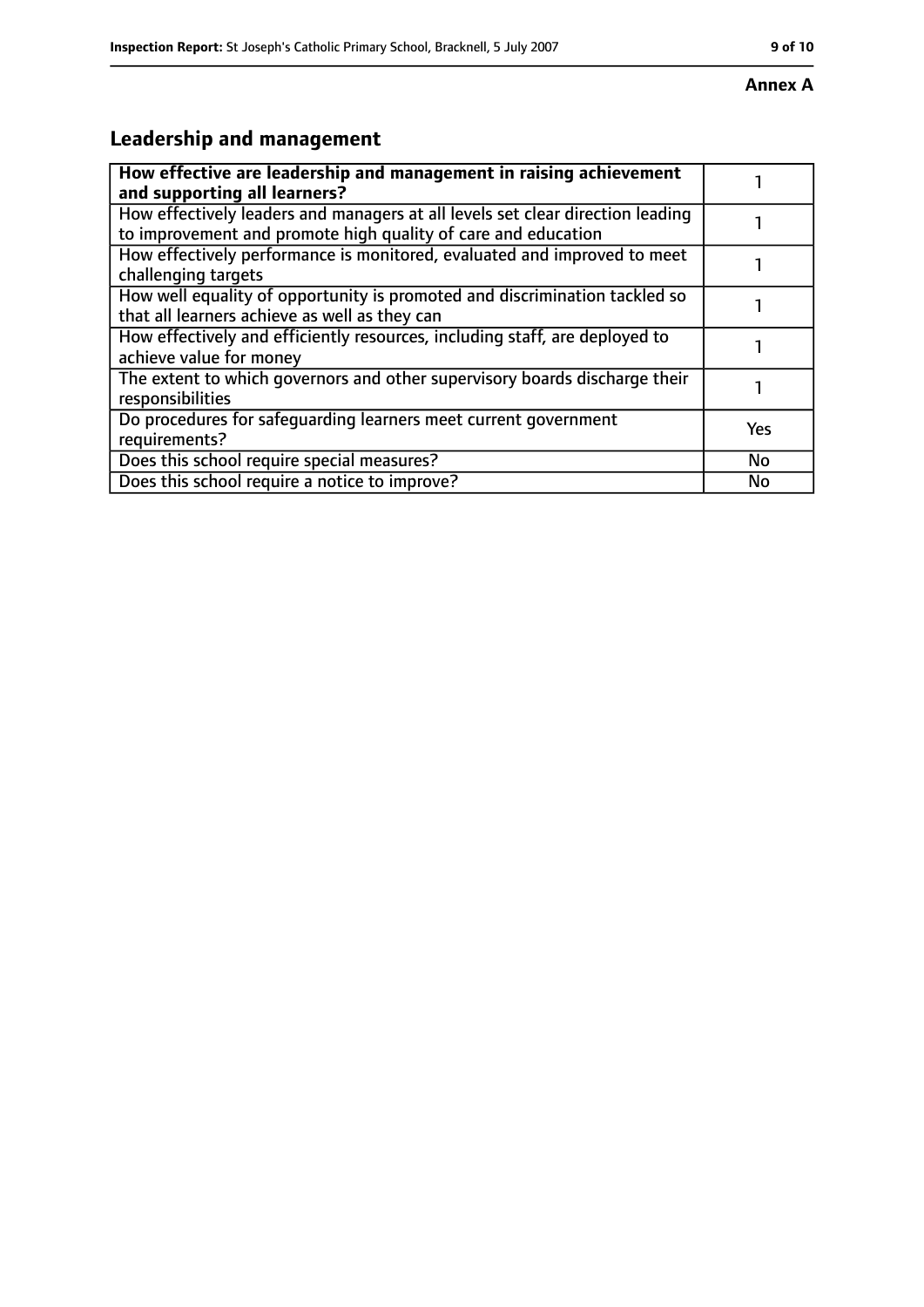#### **Annex A**

# **Leadership and management**

| How effective are leadership and management in raising achievement<br>and supporting all learners?                                              |           |
|-------------------------------------------------------------------------------------------------------------------------------------------------|-----------|
| How effectively leaders and managers at all levels set clear direction leading<br>to improvement and promote high quality of care and education |           |
| How effectively performance is monitored, evaluated and improved to meet<br>challenging targets                                                 |           |
| How well equality of opportunity is promoted and discrimination tackled so<br>that all learners achieve as well as they can                     |           |
| How effectively and efficiently resources, including staff, are deployed to<br>achieve value for money                                          |           |
| The extent to which governors and other supervisory boards discharge their<br>responsibilities                                                  |           |
| Do procedures for safequarding learners meet current government<br>requirements?                                                                | Yes       |
| Does this school require special measures?                                                                                                      | <b>No</b> |
| Does this school require a notice to improve?                                                                                                   | No        |